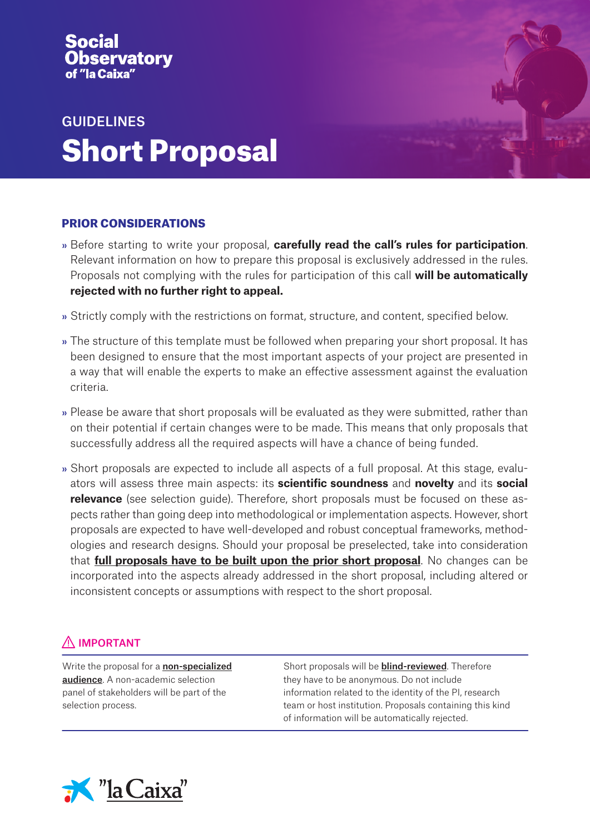# vatory

# GUIDELINES Short Proposal

## PRIOR CONSIDERATIONS

- » Before starting to write your proposal, **carefully read the call's rules for participation**. Relevant information on how to prepare this proposal is exclusively addressed in the rules. Proposals not complying with the rules for participation of this call **will be automatically rejected with no further right to appeal.**
- » Strictly comply with the restrictions on format, structure, and content, specified below.
- » The structure of this template must be followed when preparing your short proposal. It has been designed to ensure that the most important aspects of your project are presented in a way that will enable the experts to make an effective assessment against the evaluation criteria.
- » Please be aware that short proposals will be evaluated as they were submitted, rather than on their potential if certain changes were to be made. This means that only proposals that successfully address all the required aspects will have a chance of being funded.
- » Short proposals are expected to include all aspects of a full proposal. At this stage, evaluators will assess three main aspects: its **scientific soundness** and **novelty** and its **social relevance** (see selection guide). Therefore, short proposals must be focused on these aspects rather than going deep into methodological or implementation aspects. However, short proposals are expected to have well-developed and robust conceptual frameworks, methodologies and research designs. Should your proposal be preselected, take into consideration that **full proposals have to be built upon the prior short proposal**. No changes can be incorporated into the aspects already addressed in the short proposal, including altered or inconsistent concepts or assumptions with respect to the short proposal.

# AN IMPORTANT

Write the proposal for a **non-specialized** audience. A non-academic selection panel of stakeholders will be part of the selection process.

Short proposals will be **blind-reviewed**. Therefore they have to be anonymous. Do not include information related to the identity of the PI, research team or host institution. Proposals containing this kind of information will be automatically rejected.